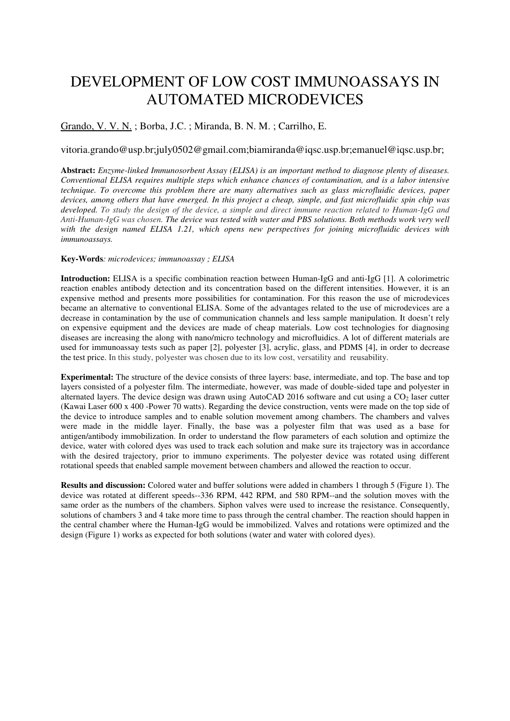# DEVELOPMENT OF LOW COST IMMUNOASSAYS IN AUTOMATED MICRODEVICES

## Grando, V. V. N. ; Borba, J.C. ; Miranda, B. N. M. ; Carrilho, E.

### vitoria.grando@usp.br;july0502@gmail.com;biamiranda@iqsc.usp.br;emanuel@iqsc.usp.br;

**Abstract:** *Enzyme-linked Immunosorbent Assay (ELISA) is an important method to diagnose plenty of diseases. Conventional ELISA requires multiple steps which enhance chances of contamination, and is a labor intensive technique. To overcome this problem there are many alternatives such as glass microfluidic devices, paper devices, among others that have emerged. In this project a cheap, simple, and fast microfluidic spin chip was developed. To study the design of the device, a simple and direct immune reaction related to Human-IgG and Anti-Human-IgG was chosen. The device was tested with water and PBS solutions. Both methods work very well with the design named ELISA 1.21, which opens new perspectives for joining microfluidic devices with immunoassays.* 

#### **Key-Words***: microdevices; immunoassay ; ELISA*

**Introduction:** ELISA is a specific combination reaction between Human-IgG and anti-IgG [1]. A colorimetric reaction enables antibody detection and its concentration based on the different intensities. However, it is an expensive method and presents more possibilities for contamination. For this reason the use of microdevices became an alternative to conventional ELISA. Some of the advantages related to the use of microdevices are a decrease in contamination by the use of communication channels and less sample manipulation. It doesn't rely on expensive equipment and the devices are made of cheap materials. Low cost technologies for diagnosing diseases are increasing the along with nano/micro technology and microfluidics. A lot of different materials are used for immunoassay tests such as paper [2], polyester [3], acrylic, glass, and PDMS [4], in order to decrease the test price. In this study, polyester was chosen due to its low cost, versatility and reusability.

**Experimental:** The structure of the device consists of three layers: base, intermediate, and top. The base and top layers consisted of a polyester film. The intermediate, however, was made of double-sided tape and polyester in alternated layers. The device design was drawn using AutoCAD 2016 software and cut using a CO<sub>2</sub> laser cutter (Kawai Laser 600 x 400 -Power 70 watts). Regarding the device construction, vents were made on the top side of the device to introduce samples and to enable solution movement among chambers. The chambers and valves were made in the middle layer. Finally, the base was a polyester film that was used as a base for antigen/antibody immobilization. In order to understand the flow parameters of each solution and optimize the device, water with colored dyes was used to track each solution and make sure its trajectory was in accordance with the desired trajectory, prior to immuno experiments. The polyester device was rotated using different rotational speeds that enabled sample movement between chambers and allowed the reaction to occur.

**Results and discussion:** Colored water and buffer solutions were added in chambers 1 through 5 (Figure 1). The device was rotated at different speeds--336 RPM, 442 RPM, and 580 RPM--and the solution moves with the same order as the numbers of the chambers. Siphon valves were used to increase the resistance. Consequently, solutions of chambers 3 and 4 take more time to pass through the central chamber. The reaction should happen in the central chamber where the Human-IgG would be immobilized. Valves and rotations were optimized and the design (Figure 1) works as expected for both solutions (water and water with colored dyes).